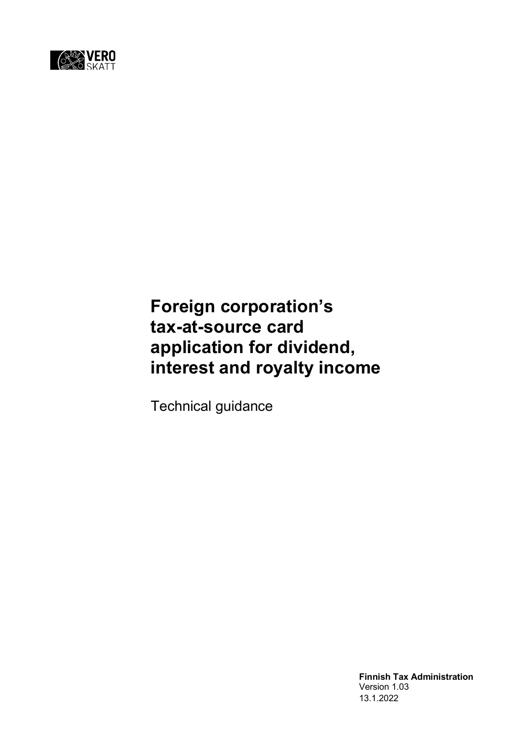

# **Foreign corporation's tax-at-source card application for dividend, interest and royalty income**

Technical guidance

**Finnish Tax Administration** Version 1.03 13.1.2022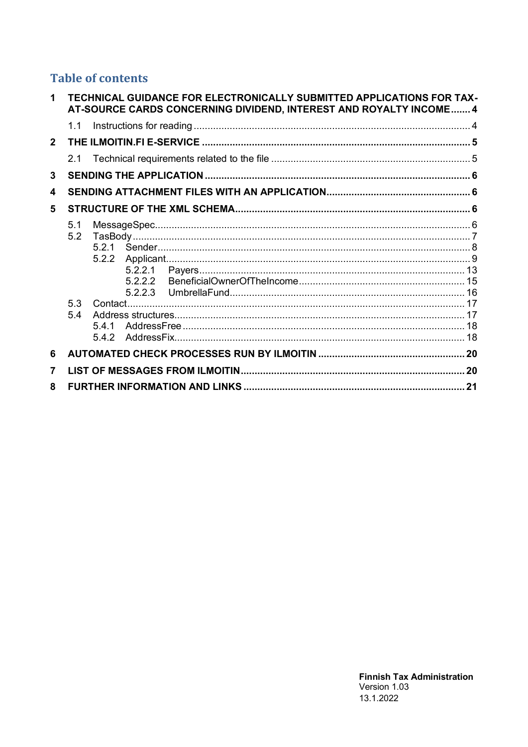# **Table of contents**

| $\mathbf 1$    |            |              |         | TECHNICAL GUIDANCE FOR ELECTRONICALLY SUBMITTED APPLICATIONS FOR TAX-<br>AT-SOURCE CARDS CONCERNING DIVIDEND, INTEREST AND ROYALTY INCOME 4 |  |
|----------------|------------|--------------|---------|---------------------------------------------------------------------------------------------------------------------------------------------|--|
|                | 1.1        |              |         |                                                                                                                                             |  |
| 2 <sup>1</sup> |            |              |         |                                                                                                                                             |  |
|                | 2.1        |              |         |                                                                                                                                             |  |
| $\mathbf{3}$   |            |              |         |                                                                                                                                             |  |
| 4              |            |              |         |                                                                                                                                             |  |
| 5              |            |              |         |                                                                                                                                             |  |
|                | 5.1<br>5.2 | 5.2.2        | 5.2.2.2 |                                                                                                                                             |  |
|                | 5.3<br>5.4 | 541<br>5.4.2 |         |                                                                                                                                             |  |
| 6              |            |              |         |                                                                                                                                             |  |
| $\overline{7}$ |            |              |         |                                                                                                                                             |  |
| 8              |            |              |         |                                                                                                                                             |  |
|                |            |              |         |                                                                                                                                             |  |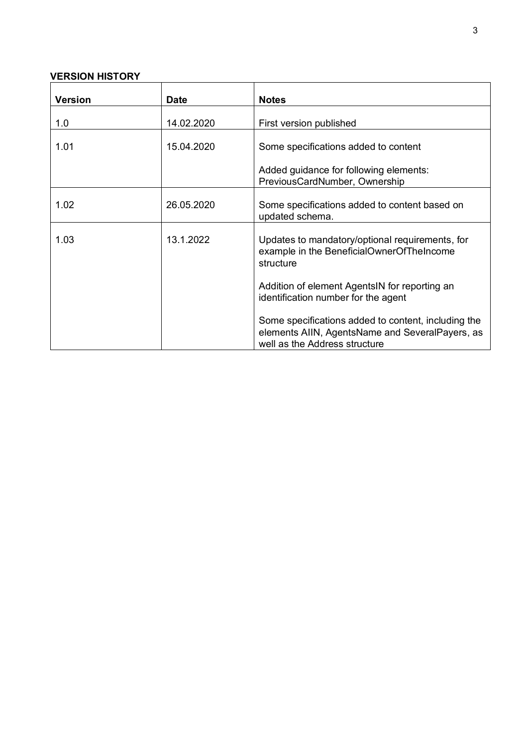# **VERSION HISTORY**

| Version | <b>Date</b> | <b>Notes</b>                                                                                                                            |
|---------|-------------|-----------------------------------------------------------------------------------------------------------------------------------------|
| 1.0     | 14.02.2020  | First version published                                                                                                                 |
| 1.01    | 15.04.2020  | Some specifications added to content                                                                                                    |
|         |             | Added guidance for following elements:<br>PreviousCardNumber, Ownership                                                                 |
| 1.02    | 26.05.2020  | Some specifications added to content based on<br>updated schema.                                                                        |
| 1.03    | 13.1.2022   | Updates to mandatory/optional requirements, for<br>example in the BeneficialOwnerOfTheIncome<br>structure                               |
|         |             | Addition of element AgentsIN for reporting an<br>identification number for the agent                                                    |
|         |             | Some specifications added to content, including the<br>elements AIIN, AgentsName and SeveralPayers, as<br>well as the Address structure |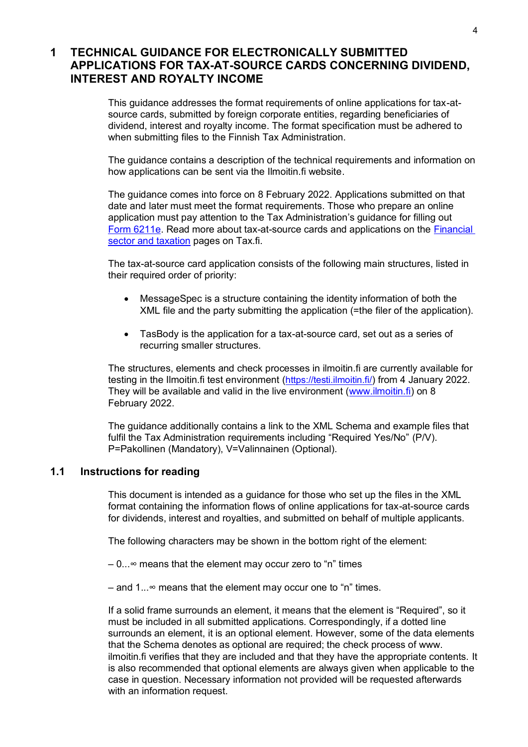# <span id="page-3-0"></span>**1 TECHNICAL GUIDANCE FOR ELECTRONICALLY SUBMITTED APPLICATIONS FOR TAX-AT-SOURCE CARDS CONCERNING DIVIDEND, INTEREST AND ROYALTY INCOME**

This guidance addresses the format requirements of online applications for tax-atsource cards, submitted by foreign corporate entities, regarding beneficiaries of dividend, interest and royalty income. The format specification must be adhered to when submitting files to the Finnish Tax Administration.

The guidance contains a description of the technical requirements and information on how applications can be sent via the Ilmoitin.fi website.

The guidance comes into force on 8 February 2022. Applications submitted on that date and later must meet the format requirements. Those who prepare an online application must pay attention to the Tax Administration's guidance for filling out [Form 6211e.](https://www.vero.fi/en/About-us/contact-us/forms/descriptions/Foreign-corporations-tax-at-source-card-application-for-dividend-interest-and-royalty-income-6211e/) Read more about tax-at-source cards and applications on the [Financial](https://vero.fi/en/businesses-and-corporations/business-operations/financial-sector/digitalisation-of-tax-at-source-applications/)  [sector and taxation](https://vero.fi/en/businesses-and-corporations/business-operations/financial-sector/digitalisation-of-tax-at-source-applications/) pages on Tax.fi.

The tax-at-source card application consists of the following main structures, listed in their required order of priority:

- MessageSpec is a structure containing the identity information of both the XML file and the party submitting the application (=the filer of the application).
- TasBody is the application for a tax-at-source card, set out as a series of recurring smaller structures.

The structures, elements and check processes in ilmoitin.fi are currently available for testing in the Ilmoitin.fi test environment (<https://testi.ilmoitin.fi/>) from 4 January 2022. They will be available and valid in the live environment [\(www.ilmoitin.fi\)](http://www.ilmoitin.fi/) on 8 February 2022.

The guidance additionally contains a link to the XML Schema and example files that fulfil the Tax Administration requirements including "Required Yes/No" (P/V). P=Pakollinen (Mandatory), V=Valinnainen (Optional).

### <span id="page-3-1"></span>**1.1 Instructions for reading**

This document is intended as a guidance for those who set up the files in the XML format containing the information flows of online applications for tax-at-source cards for dividends, interest and royalties, and submitted on behalf of multiple applicants.

The following characters may be shown in the bottom right of the element:

– 0...∞ means that the element may occur zero to "n" times

– and 1...∞ means that the element may occur one to "n" times.

If a solid frame surrounds an element, it means that the element is "Required", so it must be included in all submitted applications. Correspondingly, if a dotted line surrounds an element, it is an optional element. However, some of the data elements that the Schema denotes as optional are required; the check process of www. ilmoitin.fi verifies that they are included and that they have the appropriate contents. It is also recommended that optional elements are always given when applicable to the case in question. Necessary information not provided will be requested afterwards with an information request.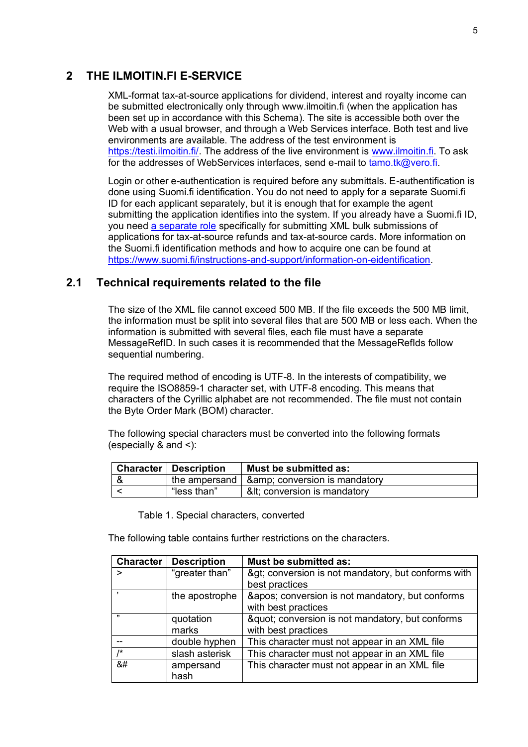# <span id="page-4-0"></span>**2 THE ILMOITIN.FI E-SERVICE**

XML-format tax-at-source applications for dividend, interest and royalty income can be submitted electronically only through www.ilmoitin.fi (when the application has been set up in accordance with this Schema). The site is accessible both over the Web with a usual browser, and through a Web Services interface. Both test and live environments are available. The address of the test environment is [https://testi.ilmoitin.fi/.](https://testi.ilmoitin.fi/) The address of the live environment is [www.ilmoitin.fi.](http://www.ilmoitin.fi/) To ask for the addresses of WebServices interfaces, send e-mail to [tamo.tk@vero.fi.](mailto:tamo.tk@vero.fi)

Login or other e-authentication is required before any submittals. E-authentification is done using Suomi.fi identification. You do not need to apply for a separate Suomi.fi ID for each applicant separately, but it is enough that for example the agent submitting the application identifies into the system. If you already have a Suomi.fi ID, you need [a separate role](https://www.suomi.fi/e-authorizations/mandate-themes/applying-for-a-refund-of-tax-at-source-and-a-tax-at-source-card/7a64972e6751deea27a8964e719b50d8) specifically for submitting XML bulk submissions of applications for tax-at-source refunds and tax-at-source cards. More information on the Suomi.fi identification methods and how to acquire one can be found at [https://www.suomi.fi/instructions-and-support/information-on-eidentification.](https://www.suomi.fi/instructions-and-support/information-on-eidentification)

# <span id="page-4-1"></span>**2.1 Technical requirements related to the file**

The size of the XML file cannot exceed 500 MB. If the file exceeds the 500 MB limit, the information must be split into several files that are 500 MB or less each. When the information is submitted with several files, each file must have a separate MessageRefID. In such cases it is recommended that the MessageRefIds follow sequential numbering.

The required method of encoding is UTF-8. In the interests of compatibility, we require the ISO8859-1 character set, with UTF-8 encoding. This means that characters of the Cyrillic alphabet are not recommended. The file must not contain the Byte Order Mark (BOM) character.

The following special characters must be converted into the following formats (especially & and <):

| <b>Character   Description</b> | Must be submitted as:                                |
|--------------------------------|------------------------------------------------------|
|                                | the ampersand $\vert$ & amp; conversion is mandatory |
| "less than"                    | &It conversion is mandatory                          |

Table 1. Special characters, converted

The following table contains further restrictions on the characters.

| <b>Character</b> | <b>Description</b> | Must be submitted as:                                              |
|------------------|--------------------|--------------------------------------------------------------------|
| >                | "greater than"     | > conversion is not mandatory, but conforms with<br>best practices |
|                  | the apostrophe     | ' conversion is not mandatory, but conforms<br>with best practices |
| ,,,              | quotation<br>marks | " conversion is not mandatory, but conforms<br>with best practices |
|                  | double hyphen      | This character must not appear in an XML file                      |
| $\overline{1*}$  | slash asterisk     | This character must not appear in an XML file                      |
| 8#               | ampersand<br>hash  | This character must not appear in an XML file                      |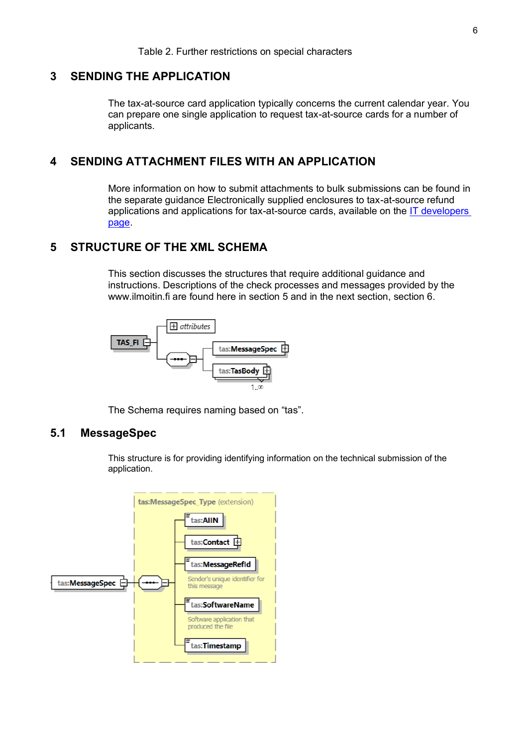### <span id="page-5-0"></span>**3 SENDING THE APPLICATION**

The tax-at-source card application typically concerns the current calendar year. You can prepare one single application to request tax-at-source cards for a number of applicants.

# <span id="page-5-1"></span>**4 SENDING ATTACHMENT FILES WITH AN APPLICATION**

More information on how to submit attachments to bulk submissions can be found in the separate guidance Electronically supplied enclosures to tax-at-source refund applications and applications for tax-at-source cards, available on the [IT developers](https://www.vero.fi/en/About-us/it_developer/data-format-specifications/specifications__direct_data_transfers_a/)  [page.](https://www.vero.fi/en/About-us/it_developer/data-format-specifications/specifications__direct_data_transfers_a/)

## <span id="page-5-2"></span>**5 STRUCTURE OF THE XML SCHEMA**

This section discusses the structures that require additional guidance and instructions. Descriptions of the check processes and messages provided by the www.ilmoitin.fi are found here in section 5 and in the next section, section 6.



The Schema requires naming based on "tas".

## <span id="page-5-3"></span>**5.1 MessageSpec**

This structure is for providing identifying information on the technical submission of the application.

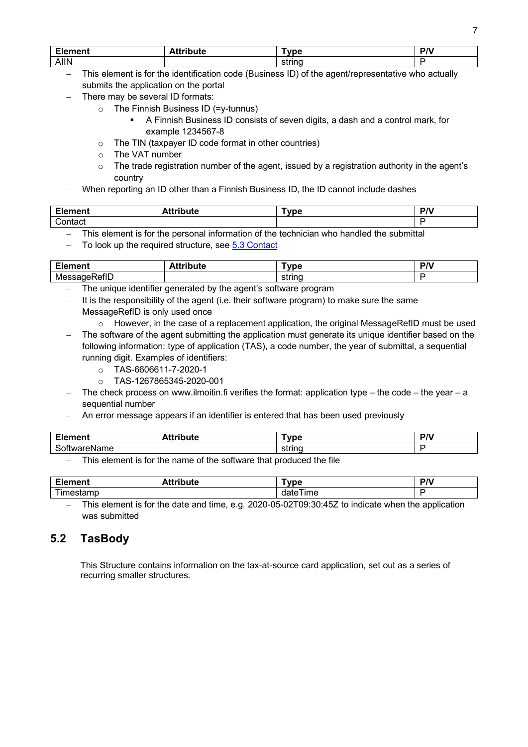| <b>Flement</b> | .<br>. | ----<br>no | - - |
|----------------|--------|------------|-----|
| <b>AIIN</b>    |        | strina     |     |

- − This element is for the identification code (Business ID) of the agent/representative who actually submits the application on the portal
- There may be several ID formats:
	- $\circ$  The Finnish Business ID (=y-tunnus)
		- A Finnish Business ID consists of seven digits, a dash and a control mark, for example 1234567-8
	- o The TIN (taxpayer ID code format in other countries)
	- o The VAT number
	- $\circ$  The trade registration number of the agent, issued by a registration authority in the agent's country
- When reporting an ID other than a Finnish Business ID, the ID cannot include dashes

| re de la contrata de la contrata de la contrata de la contrata de la contrata de la contrata de la contrata de<br>.<br>шеш<br>сю | $A = \frac{1}{2}$<br>uue<br>$\sim$ | ™vpe | $\mathbf{R}$<br>. |
|----------------------------------------------------------------------------------------------------------------------------------|------------------------------------|------|-------------------|
| :ontact                                                                                                                          |                                    |      |                   |

− This element is for the personal information of the technician who handled the submittal

To look up the required structure, se[e 5.3 Contact](#page-16-0)

| $-$ 122 $-$ 123 $-$<br>alent a<br>cic | - - - -<br>- - -<br>$-$<br>ліс | -<br>. 11-            | <b>DA</b> |
|---------------------------------------|--------------------------------|-----------------------|-----------|
| $\sim$<br>ME<br>יפוור                 |                                | ------<br>LIC.<br>ວເກ |           |

- The unique identifier generated by the agent's software program
- − It is the responsibility of the agent (i.e. their software program) to make sure the same MessageRefID is only used once
- $\circ$  However, in the case of a replacement application, the original MessageRefID must be used The software of the agent submitting the application must generate its unique identifier based on the following information: type of application (TAS), a code number, the year of submittal, a sequential running digit. Examples of identifiers:
	- o TAS-6606611-7-2020-1
	- $O$  TAS-1267865345-2020-001
- − The check process on www.ilmoitin.fi verifies the format: application type the code the year a sequential number
- An error message appears if an identifier is entered that has been used previously

| - 1<br>-- - --<br>ᄕᄔ<br>ייי | . . | $ -$<br> | $R^{\prime}$<br>. . |
|-----------------------------|-----|----------|---------------------|
| $\sim$                      |     |          |                     |

This element is for the name of the software that produced the file

| - 1<br>-----<br>nent<br>ск | . .<br>.<br>. <b>.</b><br>uιe<br> | ----                   | D <sub>A</sub><br>. |
|----------------------------|-----------------------------------|------------------------|---------------------|
| $\overline{\phantom{a}}$   |                                   | --<br>.<br>ı ime<br>,, |                     |

− This element is for the date and time, e.g. 2020-05-02T09:30:45Z to indicate when the application was submitted

# <span id="page-6-0"></span>**5.2 TasBody**

This Structure contains information on the tax-at-source card application, set out as a series of recurring smaller structures.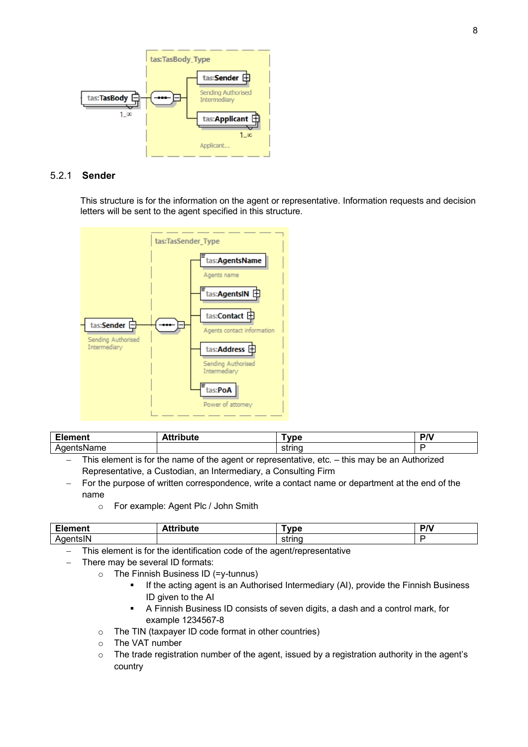

#### <span id="page-7-0"></span>5.2.1 **Sender**

This structure is for the information on the agent or representative. Information requests and decision letters will be sent to the agent specified in this structure.



| $-$<br>ment<br>cк | .<br>$A 44 - R$<br>uue | <b>THE</b><br>оге       | D <sub>A</sub><br>. . |
|-------------------|------------------------|-------------------------|-----------------------|
| ----<br>н         |                        | $\sim$ trunch<br>strinc |                       |

- This element is for the name of the agent or representative, etc. this may be an Authorized Representative, a Custodian, an Intermediary, a Consulting Firm
- For the purpose of written correspondence, write a contact name or department at the end of the name
	- o For example: Agent Plc / John Smith

| $\blacksquare$<br>- 10 | . | $\cdots$    | <b>DD</b> |
|------------------------|---|-------------|-----------|
| חו<br>.                |   | string<br>. |           |

− This element is for the identification code of the agent/representative

- There may be several ID formats:
	- o The Finnish Business ID (=y-tunnus)
		- If the acting agent is an Authorised Intermediary (AI), provide the Finnish Business ID given to the AI
		- A Finnish Business ID consists of seven digits, a dash and a control mark, for example 1234567-8
	- o The TIN (taxpayer ID code format in other countries)
	- o The VAT number
	- o The trade registration number of the agent, issued by a registration authority in the agent's country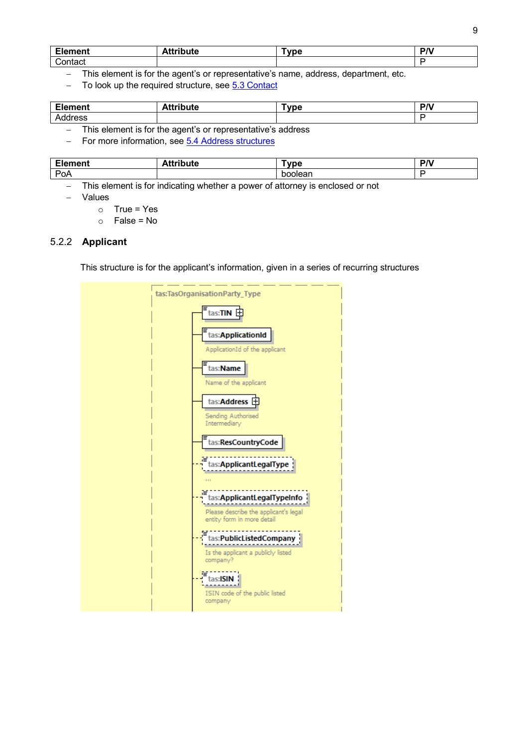| nent<br>- 11 | -------- | <b>Type</b> | P/V |
|--------------|----------|-------------|-----|
| ∽<br>;ontact |          |             |     |

− This element is for the agent's or representative's name, address, department, etc.

− To look up the required structure, se[e 5.3 Contact](#page-16-0)

| r.<br><b>Element</b> | . .<br>ule<br>. | <u>vnc</u> | DA <sup>1</sup><br>. . |
|----------------------|-----------------|------------|------------------------|
| ס סטי<br>ww.         |                 |            |                        |

− This element is for the agent's or representative's address

− For more information, see [5.4 Address structures](#page-16-1)

| m.<br>--- - -- -<br>___      | . .<br>- - - | $\sim$ $\sim$ $\sim$<br>ມບ | $\mathbf{r}$ |
|------------------------------|--------------|----------------------------|--------------|
| D <sub>o</sub><br><b>FUA</b> |              | זר<br>∍ונ<br>- а.          |              |

This element is for indicating whether a power of attorney is enclosed or not

- − Values
	- $\circ$  True = Yes
	- $\circ$  False = No

#### <span id="page-8-0"></span>5.2.2 **Applicant**

This structure is for the applicant's information, given in a series of recurring structures

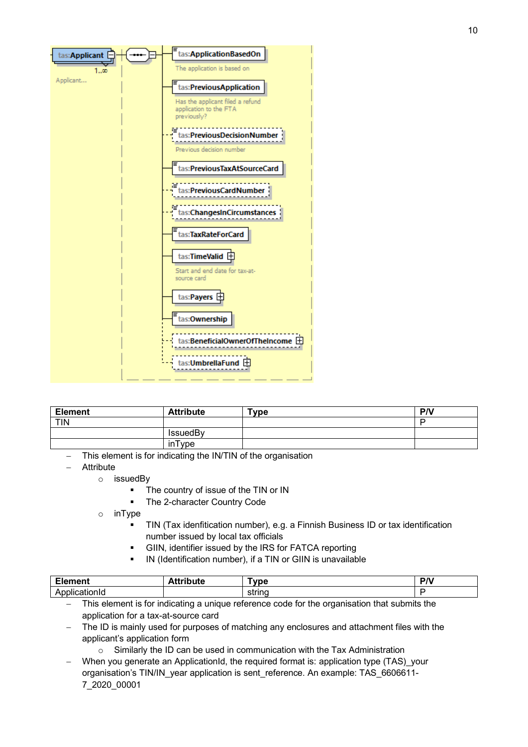

| <b>Element</b> | <b>Attribute</b> | $T$ ype | P/V |
|----------------|------------------|---------|-----|
| <b>TIN</b>     |                  |         |     |
|                | IssuedBy         |         |     |
|                | inType           |         |     |

- This element is for indicating the IN/TIN of the organisation
- − Attribute
	- o issuedBy
		- The country of issue of the TIN or IN
		- The 2-character Country Code
	- o inType
		- TIN (Tax idenfitication number), e.g. a Finnish Business ID or tax identification number issued by local tax officials
		- GIIN, identifier issued by the IRS for FATCA reporting
		- IN (Identification number), if a TIN or GIIN is unavailable

| <b>CLA</b><br>$\sim$ - $\sim$ $\sim$ $\sim$ $\sim$<br>пен<br>- 1 | <br>.<br>.<br>. | --<br><b>vne</b> | D <sub>A</sub><br>. . |
|------------------------------------------------------------------|-----------------|------------------|-----------------------|
| ٦Þ                                                               |                 | -------          |                       |

- This element is for indicating a unique reference code for the organisation that submits the application for a tax-at-source card
- The ID is mainly used for purposes of matching any enclosures and attachment files with the applicant's application form
	- o Similarly the ID can be used in communication with the Tax Administration
- When you generate an ApplicationId, the required format is: application type (TAS) your organisation's TIN/IN\_year application is sent\_reference. An example: TAS\_6606611- 7\_2020\_00001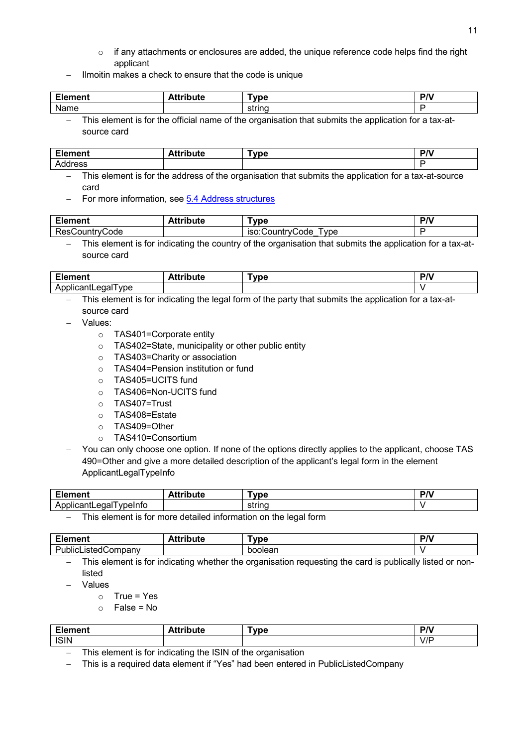- $\circ$  if any attachments or enclosures are added, the unique reference code helps find the right applicant
- Ilmoitin makes a check to ensure that the code is unique

| - 1<br>, m n n t<br>шеш | --<br>.<br>uιc | <b>EURO</b><br>v De              | P/V |
|-------------------------|----------------|----------------------------------|-----|
| <b>Nomo</b><br>שווו     |                | $\n  time\n$<br>ວດ ແ             |     |
| $-1$                    | $\sim$<br>.    | <br>$\cdot$ .<br>. .<br>. .<br>. |     |

− This element is for the official name of the organisation that submits the application for a tax-atsource card

| - 1<br>≀ment<br>cıt | . .<br>-44<br>.<br>"<br>ıte<br> | ™vpe | <b>DA</b> |
|---------------------|---------------------------------|------|-----------|
| dress<br>⊶.         |                                 |      |           |

This element is for the address of the organisation that submits the application for a tax-at-source card

For more information, see [5.4 Address structures](#page-16-1)

| Element             | `ribute | <b>VDC</b>                         | <b>DA</b> |
|---------------------|---------|------------------------------------|-----------|
| ResCountryC<br>Code |         | vpe<br><b>ISO:COUNTIVO</b><br>Code |           |
|                     |         |                                    |           |

− This element is for indicating the country of the organisation that submits the application for a tax-atsource card

| re de<br>ale:<br>чени.                         | . .<br>- - -<br>.<br>Attribute | <b>TERR</b><br>. ne | D <sub>A</sub><br>. |
|------------------------------------------------|--------------------------------|---------------------|---------------------|
| -----<br>vpe<br>edal<br>AD.<br>ווור<br>ישו<br> |                                |                     |                     |

- − This element is for indicating the legal form of the party that submits the application for a tax-atsource card
- − Values:
	- o TAS401=Corporate entity
	- o TAS402=State, municipality or other public entity
	- o TAS403=Charity or association
	- o TAS404=Pension institution or fund
	- o TAS405=UCITS fund
	- o TAS406=Non-UCITS fund
	- o TAS407=Trust
	- o TAS408=Estate
	- o TAS409=Other
	- o TAS410=Consortium
- You can only choose one option. If none of the options directly applies to the applicant, choose TAS 490=Other and give a more detailed description of the applicant's legal form in the element ApplicantLegalTypeInfo

| Eler<br>∙ment                                      | . .<br>- - - - - - - - -<br>ınuc<br>. | ™vpe   | DA.<br>7 V |
|----------------------------------------------------|---------------------------------------|--------|------------|
| .<br>ററ<br>∵vpeInfu<br>. .<br>$\sim$<br>. <u>.</u> |                                       | string |            |
|                                                    |                                       |        |            |

This element is for more detailed information on the legal form

| --<br>----<br>ск<br>$\blacksquare$ | . .<br>- - - | -<br>/De<br> | <b>DA</b><br>. |
|------------------------------------|--------------|--------------|----------------|
|                                    |              | ⊣ונ          |                |

This element is for indicating whether the organisation requesting the card is publically listed or nonlisted

- − Values
	- $\circ$  True = Yes
	- $\circ$  False = No

| ∙ment<br>-10 | .<br>. .<br>`ttrıbute | $T$ vpe | <b>DA</b><br>. . |
|--------------|-----------------------|---------|------------------|
| <b>ISIN</b>  |                       |         | $V/\Gamma$       |

− This element is for indicating the ISIN of the organisation

− This is a required data element if "Yes" had been entered in PublicListedCompany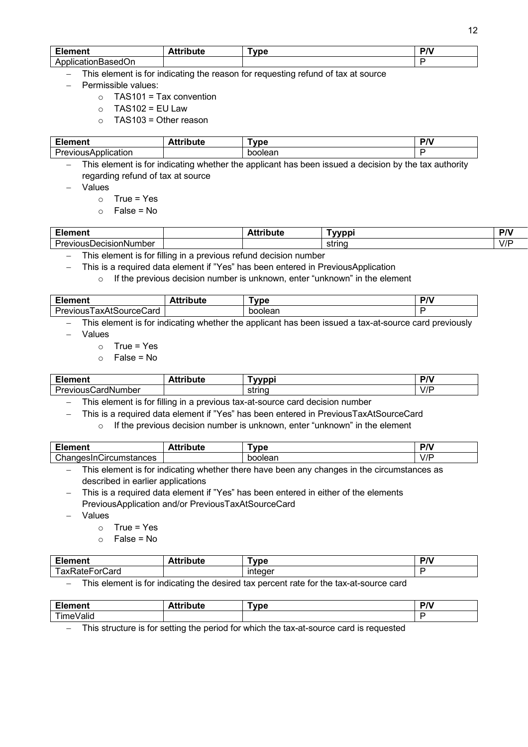| - 1<br>--- - -- -<br>ли<br>. .<br>______ | . .<br>.<br>-------<br>лc<br> | -<br>/pe<br>v | <b>DD</b> |
|------------------------------------------|-------------------------------|---------------|-----------|
| . .<br>$\mathbf{A}^r$<br>w               |                               |               |           |

This element is for indicating the reason for requesting refund of tax at source

- − Permissible values:
	- $\circ$  TAS101 = Tax convention
	- $\circ$  TAS102 = EU Law
	- $\circ$  TAS103 = Other reason

| $\mathbf{r}$<br>ייסו | <b>VDC</b><br>. . | - -<br>. . |
|----------------------|-------------------|------------|
| -                    | .<br>┅            |            |

This element is for indicating whether the applicant has been issued a decision by the tax authority regarding refund of tax at source

- − Values
	- $\circ$  True = Yes
	- $\circ$  False = No

| -<br>. Iamant<br>чењ.<br>– 15                    | --<br>.<br>.<br>н<br> | ับบทท  | DN. |
|--------------------------------------------------|-----------------------|--------|-----|
| -<br>.<br>$\cdots$<br>ıber<br>VINIS<br>. Jecisic |                       | string | V/F |
|                                                  |                       |        |     |

− This element is for filling in a previous refund decision number

− This is a required data element if "Yes" has been entered in PreviousApplication

 $\circ$  If the previous decision number is unknown, enter "unknown" in the element

| $\sim$                                      | .<br>.<br>. <b>. .</b> . | vne.     | <b>DA</b><br>. . |
|---------------------------------------------|--------------------------|----------|------------------|
| $\epsilon$<br>:ard<br><br>$\Delta$<br>∿<br> |                          | ar<br>не |                  |

This element is for indicating whether the applicant has been issued a tax-at-source card previously

- − Values
	- $\circ$  True = Yes
	- $\circ$  False = No

| - -<br>.<br>іені                    | --<br><br>awika mez | <b>THE STATE</b> | <b>DA</b>          |
|-------------------------------------|---------------------|------------------|--------------------|
| <br>"vious"<br>∴ardN<br>.umber<br>. |                     | טווג<br>ິບ       | $^{\prime}$<br>V/I |

− This element is for filling in a previous tax-at-source card decision number

− This is a required data element if "Yes" has been entered in PreviousTaxAtSourceCard

o If the previous decision number is unknown, enter "unknown" in the element

| - 1<br>----<br>जा                                      | . .<br><br>. | --<br>vpe <sup>-</sup> | <b>DA</b>           |
|--------------------------------------------------------|--------------|------------------------|---------------------|
| $\overline{\phantom{0}}$<br>،nr<br>.<br>stances<br>יםו |              | ר <sub>∩</sub> eaח     | $\prime$ / F<br>V/I |

− This element is for indicating whether there have been any changes in the circumstances as described in earlier applications

This is a required data element if "Yes" has been entered in either of the elements PreviousApplication and/or PreviousTaxAtSourceCard

− Values

- $\circ$  True = Yes
- $\circ$  False = No

| --<br>10000000<br>∟ier<br>aneni i   | . .<br><b>\ttribute</b> | $T$ vpe                                 | nni<br>. .<br>,, |
|-------------------------------------|-------------------------|-----------------------------------------|------------------|
| --<br>-<br>axl<br>ardٽ<br>nr<br>NO. |                         | <br>$\sim$ $\sim$ $\sim$<br>د ہم ان<br> |                  |

This element is for indicating the desired tax percent rate for the tax-at-source card

| $\mathbf{r}$<br>--- - -- -<br><br>-- | - - - | -<br>. ne | <b>DA</b><br>. . |
|--------------------------------------|-------|-----------|------------------|
| -<br>---<br>ш<br>                    |       |           |                  |

This structure is for setting the period for which the tax-at-source card is requested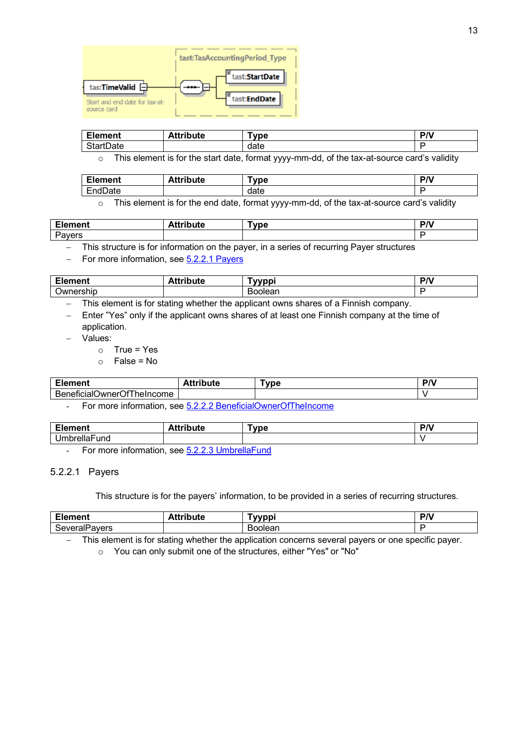

| Element                           | <b>Attribute</b> | <b>vpe</b> | D <sub>A</sub> |
|-----------------------------------|------------------|------------|----------------|
| $\cap$ tarti<br><b>tDate</b><br>◡ |                  | date       |                |

o This element is for the start date, format yyyy-mm-dd, of the tax-at-source card's validity

| <b>Element</b>                              | <b>Attribute</b> | Type | P/V |
|---------------------------------------------|------------------|------|-----|
| $\overline{\phantom{a}}$<br>EndDate<br>⊢nd' |                  | date | -   |
|                                             |                  |      |     |

o This element is for the end date, format yyyy-mm-dd, of the tax-at-source card's validity

| Element      | . .<br>4.4<br>'ibute<br>. | <b>DIA</b><br>юe | nn,<br>. . |
|--------------|---------------------------|------------------|------------|
| avers<br>u v |                           |                  |            |
| ____         | ___                       | $\sim$<br>$-$    |            |

− This structure is for information on the payer, in a series of recurring Payer structures

For more information, see [5.2.2.1 Payers](#page-12-0)

| مدحا التناول<br>$- - - - - - - -$<br>пени<br>. .<br>- 1 | -- | ้พทก                | <i>ות</i><br>. . |
|---------------------------------------------------------|----|---------------------|------------------|
| -<br>$-$ rahin<br>)wr<br>SHIL                           |    | .<br>⊣ונ<br>M<br>∍. |                  |

This element is for stating whether the applicant owns shares of a Finnish company.

Enter "Yes" only if the applicant owns shares of at least one Finnish company at the time of application.

- − Values:
	- $\circ$  True = Yes

 $\circ$  False = No

| <u>е п. </u><br>ิ∖ment<br>=ıer                            | --<br>------- | <b></b><br>. pe | <b>DA</b><br>. |
|-----------------------------------------------------------|---------------|-----------------|----------------|
| Beı<br>-<br>)wner<br>`≏ome ∶<br>'nelnc∟<br>nenciait<br>,, |               |                 |                |

For more information, see [5.2.2.2 BeneficialOwnerOfTheIncome](#page-14-0)

| $T_{\text{t}}$<br>디너          | .<br>. | -<br><u>Гълма</u><br>11 A | 701<br>. |
|-------------------------------|--------|---------------------------|----------|
| .<br>und<br>,,,,,,<br>ັັ<br>. |        |                           |          |

For more information, see [5.2.2.3 UmbrellaFund](#page-15-0)

### <span id="page-12-0"></span>5.2.2.1 Payers

This structure is for the payers' information, to be provided in a series of recurring structures.

| - 1<br>$-$<br>n        | .     | $\mathbf{a}$ |
|------------------------|-------|--------------|
| avers<br>⊿IF<br>…<br>. | วlear |              |

− This element is for stating whether the application concerns several payers or one specific payer.

o You can only submit one of the structures, either "Yes" or "No"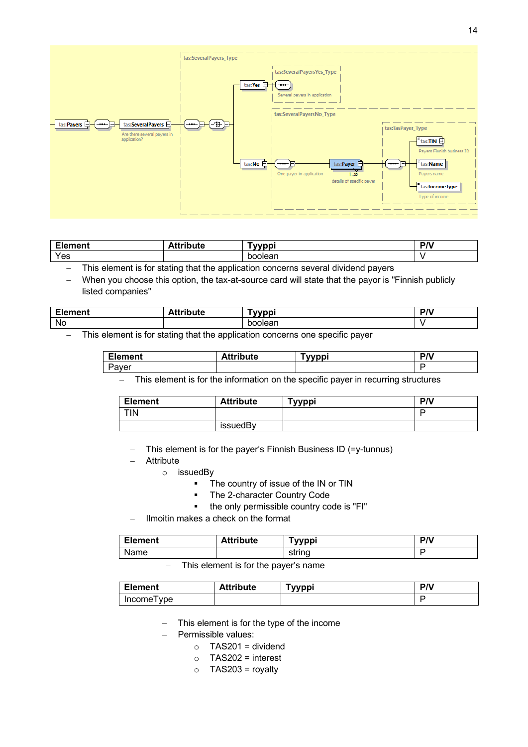

| - 1<br>.<br>aent . | .<br>ute | <b>vvppi</b>     | $\mathbf{a}$ |
|--------------------|----------|------------------|--------------|
| Yes                |          | .<br>חה<br>olear |              |

This element is for stating that the application concerns several dividend payers

When you choose this option, the tax-at-source card will state that the payor is "Finnish publicly listed companies"

| <b>The County</b><br>.  . | чи | .  | <b>DD</b> |
|---------------------------|----|----|-----------|
| Nc.                       |    | າເ |           |

− This element is for stating that the application concerns one specific payer

| --<br>nent<br>-----               | --<br>.<br>oute | vvppi<br>vv | . n .<br>'N |
|-----------------------------------|-----------------|-------------|-------------|
| $\overline{\phantom{0}}$<br>'aver |                 |             |             |

This element is for the information on the specific payer in recurring structures

| <b>Element</b> | <b>Attribute</b> | Tyyppi | <b>PN</b> |
|----------------|------------------|--------|-----------|
| <b>TIN</b>     |                  |        |           |
|                | issuedBy         |        |           |

− This element is for the payer's Finnish Business ID (=y-tunnus)

- − Attribute
	- o issuedBy
		- The country of issue of the IN or TIN
		- The 2-character Country Code
		- the only permissible country code is "FI"
	- − Ilmoitin makes a check on the format

| <b>Element</b> | <b>Attribute</b>   | Tyyppi | P/V |
|----------------|--------------------|--------|-----|
| Name           |                    | string |     |
| ---            | .<br>$\sim$ $\sim$ |        |     |

#### This element is for the payer's name

| <b>Element</b> | <b>Attribute</b> | <b>Tyyppi</b> | PΛ |
|----------------|------------------|---------------|----|
| Income I ype   |                  |               |    |

This element is for the type of the income

− Permissible values:

- $O$  TAS201 = dividend
- $\circ$  TAS202 = interest
- $\circ$  TAS203 = royalty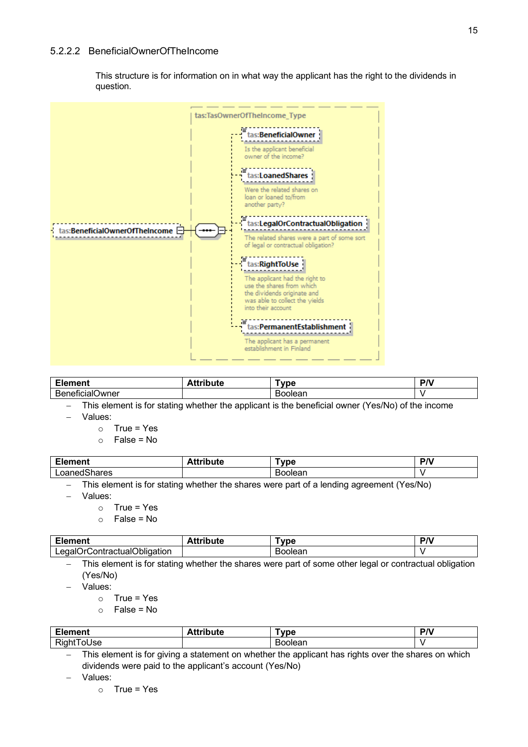#### <span id="page-14-0"></span>5.2.2.2 BeneficialOwnerOfTheIncome

This structure is for information on in what way the applicant has the right to the dividends in question.



| $ -$<br>.<br>1161 I L                               | .<br>- -<br>ibute<br> | г. п. е<br>υe             | $P/\lambda$ |
|-----------------------------------------------------|-----------------------|---------------------------|-------------|
| $\overline{\phantom{a}}$<br>⊃wner<br>. 121 N<br>. . |                       | . .<br>- --<br>. )।⊬<br>⊶ |             |

This element is for stating whether the applicant is the beneficial owner (Yes/No) of the income

− Values:

- $\circ$  True = Yes
- $\circ$  False = No

| Eler          | .<br>≅ute | $\blacksquare$<br>vpe | <b>DD</b> |
|---------------|-----------|-----------------------|-----------|
| arres<br>∟oar |           |                       |           |

− This element is for stating whether the shares were part of a lending agreement (Yes/No)

− Values:

- $\circ$  True = Yes
- $\circ$  False = No

| <b>Element</b>                                    | .<br>tribute | Tvpe   | <b>PN</b> |
|---------------------------------------------------|--------------|--------|-----------|
| '∩bligation<br>egal(<br>:ontracti<br>- Ir<br>uall |              | oolear |           |

This element is for stating whether the shares were part of some other legal or contractual obligation (Yes/No)

− Values:

- $\circ$  True = Yes
- $\circ$  False = No

| $\blacksquare$<br>∠iement | bute | vpe   | P/V |
|---------------------------|------|-------|-----|
| - -<br>kiar<br>Jse        |      | plean |     |

This element is for giving a statement on whether the applicant has rights over the shares on which dividends were paid to the applicant's account (Yes/No)

− Values: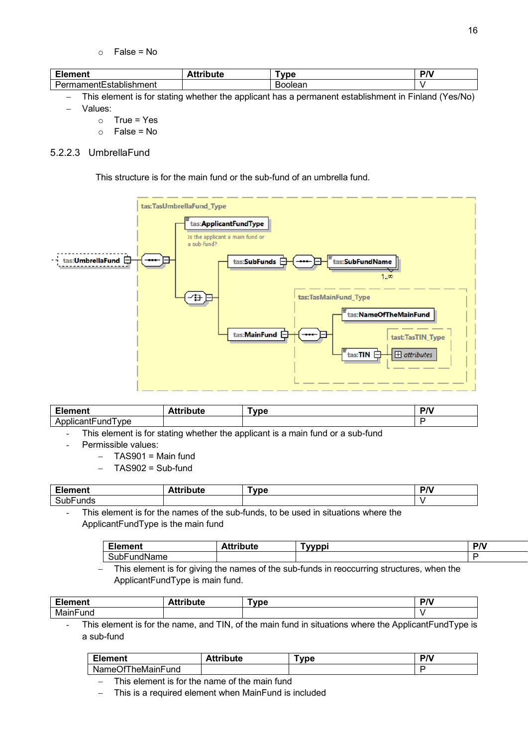$\circ$  False = No

| $\mathbf{r}$<br>nent                | .<br>.<br>.<br>ale. | ™ne | <b>DA</b><br>. |
|-------------------------------------|---------------------|-----|----------------|
| .<br>ıblıshm<br>$\sim$<br>ment<br>⋯ |                     | леа |                |

− This element is for stating whether the applicant has a permanent establishment in Finland (Yes/No) − Values:

- $\circ$  True = Yes
- $\circ$  False = No

### <span id="page-15-0"></span>5.2.2.3 UmbrellaFund

This structure is for the main fund or the sub-fund of an umbrella fund.



| - 1<br>$-1$<br>ченг<br>– IV                         | .<br>- - -<br>™bute | <b>Tyne</b> | DA <sup>1</sup> |
|-----------------------------------------------------|---------------------|-------------|-----------------|
| ype<br>.<br>$\mathbf{r}$<br>∹unc<br>. )     (<br>៶៷ |                     |             |                 |

- This element is for stating whether the applicant is a main fund or a sub-fund
- Permissible values:
	- − TAS901 = Main fund
	- − TAS902 = Sub-fund

| $T_{\text{max}}$<br>.  | . .<br>---- | <b>MOC</b> | <b>DD</b> |
|------------------------|-------------|------------|-----------|
| $\sim$<br>∵nas.<br>ouu |             |            |           |
|                        |             |            |           |

This element is for the names of the sub-funds, to be used in situations where the ApplicantFundType is the main fund

| m.<br>$\sim$ and $\sim$ and $\sim$<br>EIG.<br>ченг | . .<br>.<br> | wmni | D <sub>n</sub><br>. |
|----------------------------------------------------|--------------|------|---------------------|
| <br>-<br>≺ur<br>.ne                                |              |      |                     |

This element is for giving the names of the sub-funds in reoccurring structures, when the ApplicantFundType is main fund.

| Element          | .<br>ttribute | Tvpe | D <sub>A</sub><br>. . |
|------------------|---------------|------|-----------------------|
| .<br>IVI.<br>und |               |      |                       |

- This element is for the name, and TIN, of the main fund in situations where the ApplicantFundType is a sub-fund

| Element                           | <b>Attribute</b> | <b>Type</b> | $P/\lambda$ |
|-----------------------------------|------------------|-------------|-------------|
| ۱t I<br>∙und<br>heMainFi<br>Name( |                  |             | Е           |

This element is for the name of the main fund

This is a required element when MainFund is included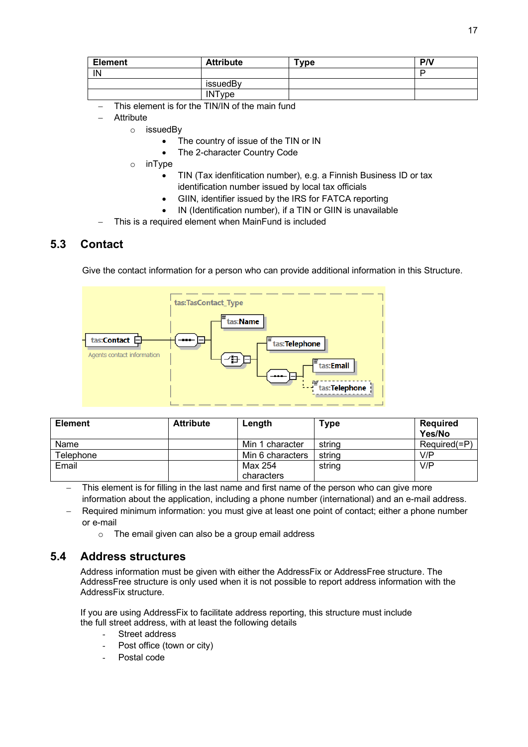| <b>Element</b> | <b>Attribute</b> | $T$ ype | P/V |
|----------------|------------------|---------|-----|
| IN             |                  |         | ▫   |
|                | issuedBy         |         |     |
|                | <b>INType</b>    |         |     |

- This element is for the TIN/IN of the main fund
- − Attribute
	- o issuedBy
		- The country of issue of the TIN or IN
		- The 2-character Country Code
		- o inType
			- TIN (Tax idenfitication number), e.g. a Finnish Business ID or tax identification number issued by local tax officials
			- GIIN, identifier issued by the IRS for FATCA reporting
			- IN (Identification number), if a TIN or GIIN is unavailable
- This is a required element when MainFund is included

## <span id="page-16-0"></span>**5.3 Contact**

Give the contact information for a person who can provide additional information in this Structure.



| <b>Element</b> | <b>Attribute</b> | Length           | <b>Type</b> | Required<br>Yes/No |
|----------------|------------------|------------------|-------------|--------------------|
| Name           |                  | Min 1 character  | string      | $Required(=P)$     |
| Telephone      |                  | Min 6 characters | string      | V/P                |
| Email          |                  | Max 254          | string      | V/P                |
|                |                  | characters       |             |                    |

This element is for filling in the last name and first name of the person who can give more information about the application, including a phone number (international) and an e-mail address.

- Required minimum information: you must give at least one point of contact; either a phone number or e-mail
	- o The email given can also be a group email address

#### <span id="page-16-1"></span>**5.4 Address structures**

Address information must be given with either the AddressFix or AddressFree structure. The AddressFree structure is only used when it is not possible to report address information with the AddressFix structure.

If you are using AddressFix to facilitate address reporting, this structure must include the full street address, with at least the following details

- Street address
- Post office (town or city)
- Postal code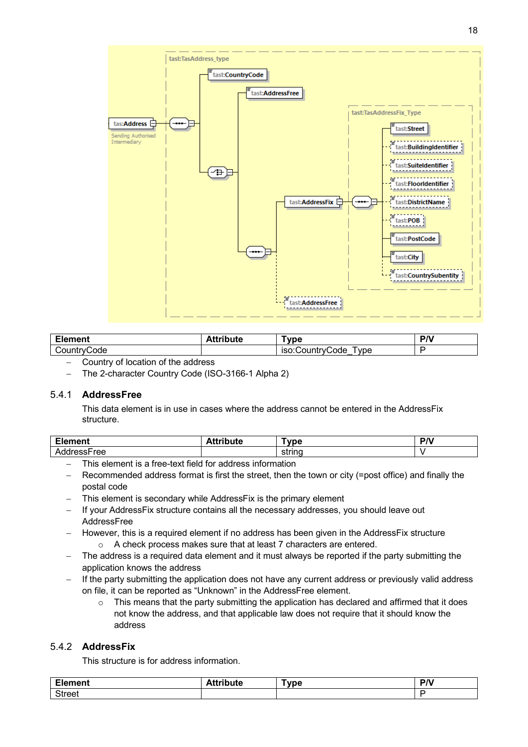

| ∙ment<br>= It        | .<br>------<br>uu | vne.                                          | 100 |
|----------------------|-------------------|-----------------------------------------------|-----|
| code<br>יו וח.<br>V) |                   | vpe<br>.<br>Code<br>ιςι<br>וו ורז.<br>$\cdot$ |     |

- − Country of location of the address
- − The 2-character Country Code (ISO-3166-1 Alpha 2)

#### <span id="page-17-0"></span>5.4.1 **AddressFree**

This data element is in use in cases where the address cannot be entered in the AddressFix structure.

| r.<br>--<br>디너<br>$\blacksquare$ | . <i>.</i><br>יי | <b>DA</b><br>. . |
|----------------------------------|------------------|------------------|
|                                  |                  |                  |

- − This element is a free-text field for address information
- Recommended address format is first the street, then the town or city (=post office) and finally the postal code
- This element is secondary while AddressFix is the primary element
- − If your AddressFix structure contains all the necessary addresses, you should leave out **AddressFree**
- − However, this is a required element if no address has been given in the AddressFix structure o A check process makes sure that at least 7 characters are entered.
- The address is a required data element and it must always be reported if the party submitting the application knows the address
- − If the party submitting the application does not have any current address or previously valid address on file, it can be reported as "Unknown" in the AddressFree element.
	- $\circ$  This means that the party submitting the application has declared and affirmed that it does not know the address, and that applicable law does not require that it should know the address

#### <span id="page-17-1"></span>5.4.2 **AddressFix**

This structure is for address information.

| $- \cdot$     | <b>AAA</b> -11 | Tvpe | D <sub>N</sub> |
|---------------|----------------|------|----------------|
| ement         | .              |      | . .            |
| <b>Street</b> |                |      |                |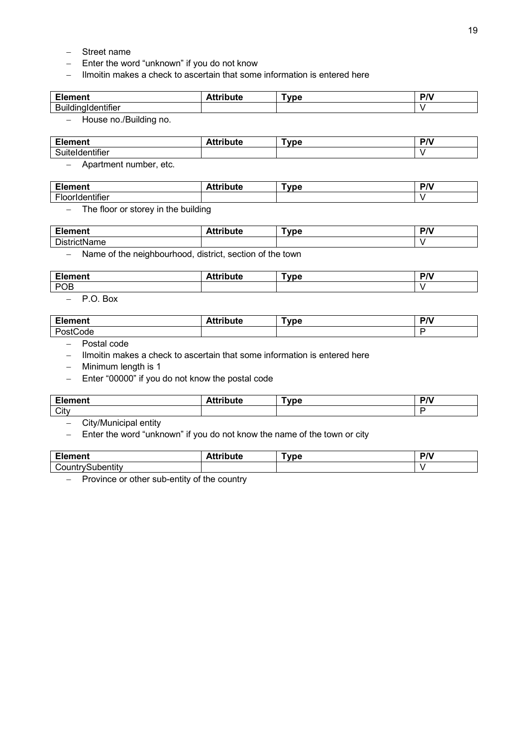- − Street name
- − Enter the word "unknown" if you do not know
- − Ilmoitin makes a check to ascertain that some information is entered here

| mц.<br>чепе | لمغرر والسفة فالمستقيد<br>ามเ<br>uu | ™ne | <b>D<sub>N</sub></b> |
|-------------|-------------------------------------|-----|----------------------|
| <br>D       |                                     |     |                      |

− House no./Building no.

| <b>Element</b>       | <b>`ttribute</b> | Type | D <sub>A</sub> |
|----------------------|------------------|------|----------------|
| .<br>SuiteIdentifier |                  |      |                |

− Apartment number, etc.

| m.                                          | -- | vpe <sup>-</sup> | 701 |
|---------------------------------------------|----|------------------|-----|
| $-$ - $   -$                                | .  |                  | . . |
| $\overline{\phantom{a}}$<br>.<br>unei<br>טו |    |                  |     |

− The floor or storey in the building

| $\mathbf{r}$<br>чењ        | .<br>.<br>.<br>.<br>-- - - - - | $\sim$<br><b>Tvpe</b> | <b>DA</b> |
|----------------------------|--------------------------------|-----------------------|-----------|
| $\sim$ .<br>⊃ustrir<br>ane |                                |                       |           |

− Name of the neighbourhood, district, section of the town

| $\mathbf{r}$<br>------<br>______ | . | ™ne | <b>DA</b> |
|----------------------------------|---|-----|-----------|
| POB                              |   |     |           |
|                                  |   |     |           |

− P.O. Box

| 1000<br>лпепт<br>cie, | 1. A.A. .<br>. | vpe <sup>-</sup> | <i>ות</i><br>. |
|-----------------------|----------------|------------------|----------------|
| `ode                  |                |                  |                |

− Postal code

− Ilmoitin makes a check to ascertain that some information is entered here

− Minimum length is 1

− Enter "00000" if you do not know the postal code

| <b>Element</b> | ue | <b>vpc</b> | $\mathbf{B}$ |
|----------------|----|------------|--------------|
| City           |    |            |              |

− City/Municipal entity

− Enter the word "unknown" if you do not know the name of the town or city

| --<br>.<br>лепс                                           | .<br>.<br>.<br>---<br>Jule<br>- 11 | г. н. е<br>υe | ותם<br>. . |
|-----------------------------------------------------------|------------------------------------|---------------|------------|
| .<br>$\sim$ 0.00 $\sim$<br>-----<br>าคr<br>. .<br>м.<br>. |                                    |               |            |

<span id="page-18-0"></span>− Province or other sub-entity of the country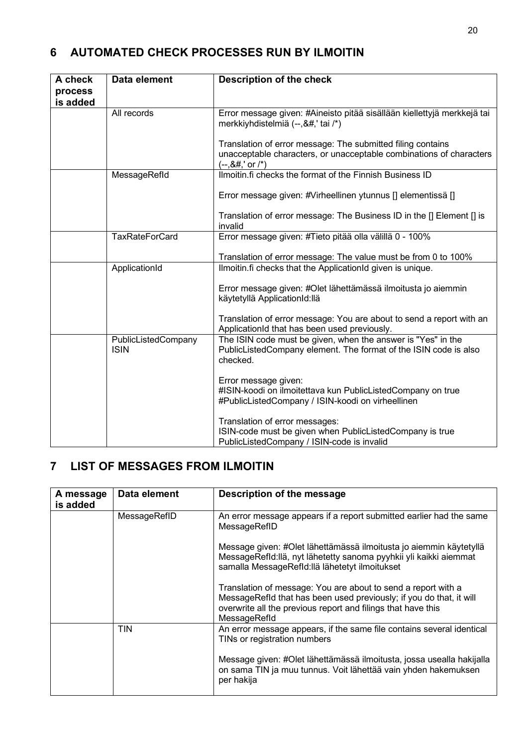# **6 AUTOMATED CHECK PROCESSES RUN BY ILMOITIN**

| A check  | Data element | <b>Description of the check</b>                                                                                                                                                                                                                                                                                                                                                                                                                                                                                                                                                                                                                                                                                                                                                                                                                                                                                                                                                                                                                                                                                                                                                                                                                                                                                                                                                                                                                                                                                                                                                                                                                                                                                                                                                                                                                                            |
|----------|--------------|----------------------------------------------------------------------------------------------------------------------------------------------------------------------------------------------------------------------------------------------------------------------------------------------------------------------------------------------------------------------------------------------------------------------------------------------------------------------------------------------------------------------------------------------------------------------------------------------------------------------------------------------------------------------------------------------------------------------------------------------------------------------------------------------------------------------------------------------------------------------------------------------------------------------------------------------------------------------------------------------------------------------------------------------------------------------------------------------------------------------------------------------------------------------------------------------------------------------------------------------------------------------------------------------------------------------------------------------------------------------------------------------------------------------------------------------------------------------------------------------------------------------------------------------------------------------------------------------------------------------------------------------------------------------------------------------------------------------------------------------------------------------------------------------------------------------------------------------------------------------------|
| process  |              |                                                                                                                                                                                                                                                                                                                                                                                                                                                                                                                                                                                                                                                                                                                                                                                                                                                                                                                                                                                                                                                                                                                                                                                                                                                                                                                                                                                                                                                                                                                                                                                                                                                                                                                                                                                                                                                                            |
| is added |              |                                                                                                                                                                                                                                                                                                                                                                                                                                                                                                                                                                                                                                                                                                                                                                                                                                                                                                                                                                                                                                                                                                                                                                                                                                                                                                                                                                                                                                                                                                                                                                                                                                                                                                                                                                                                                                                                            |
|          | All records  | Error message given: #Aineisto pitää sisällään kiellettyjä merkkejä tai<br>merkkiyhdistelmiä (--,&#,' tai /*)</th></tr><tr><th></th><th></th><th>Translation of error message: The submitted filing contains<br>unacceptable characters, or unacceptable combinations of characters<br><math>(-, 8#, ' or /*)</math></th></tr><tr><th></th><th>MessageRefld</th><th>Ilmoitin.fi checks the format of the Finnish Business ID</th></tr><tr><th></th><th></th><th>Error message given: #Virheellinen ytunnus [] elementissä []</th></tr><tr><th></th><th></th><th>Translation of error message: The Business ID in the [] Element [] is<br>invalid</th></tr><tr><th></th><th><b>TaxRateForCard</b></th><th>Error message given: #Tieto pitää olla välillä 0 - 100%</th></tr><tr><th></th><th></th><th>Translation of error message: The value must be from 0 to 100%</th></tr><tr><th></th><th>ApplicationId</th><th>Ilmoitin.fi checks that the ApplicationId given is unique.</th></tr><tr><th></th><th></th><th>Error message given: #Olet lähettämässä ilmoitusta jo aiemmin<br>käytetyllä ApplicationId:llä</th></tr><tr><th></th><th></th><th>Translation of error message: You are about to send a report with an<br>ApplicationId that has been used previously.</th></tr><tr><th></th><th>PublicListedCompany<br><b>ISIN</b></th><th>The ISIN code must be given, when the answer is "Yes" in the<br>PublicListedCompany element. The format of the ISIN code is also<br>checked.</th></tr><tr><th></th><th></th><th>Error message given:<br>#ISIN-koodi on ilmoitettava kun PublicListedCompany on true<br>#PublicListedCompany / ISIN-koodi on virheellinen</th></tr><tr><th></th><th></th><th>Translation of error messages:<br>ISIN-code must be given when PublicListedCompany is true<br>PublicListedCompany / ISIN-code is invalid</th></tr></tbody></table> |

# <span id="page-19-0"></span>**7 LIST OF MESSAGES FROM ILMOITIN**

| A message<br>is added | Data element | Description of the message                                                                                                                                                                                           |
|-----------------------|--------------|----------------------------------------------------------------------------------------------------------------------------------------------------------------------------------------------------------------------|
|                       | MessageRefID | An error message appears if a report submitted earlier had the same<br>MessageRefID                                                                                                                                  |
|                       |              | Message given: #Olet lähettämässä ilmoitusta jo aiemmin käytetyllä<br>MessageRefld: Ilä, nyt lähetetty sanoma pyyhkii yli kaikki aiemmat<br>samalla MessageRefld:llä lähetetyt ilmoitukset                           |
|                       |              | Translation of message: You are about to send a report with a<br>MessageRefld that has been used previously; if you do that, it will<br>overwrite all the previous report and filings that have this<br>MessageRefld |
|                       | TIN          | An error message appears, if the same file contains several identical<br>TINs or registration numbers                                                                                                                |
|                       |              | Message given: #Olet lähettämässä ilmoitusta, jossa usealla hakijalla<br>on sama TIN ja muu tunnus. Voit lähettää vain yhden hakemuksen<br>per hakija                                                                |